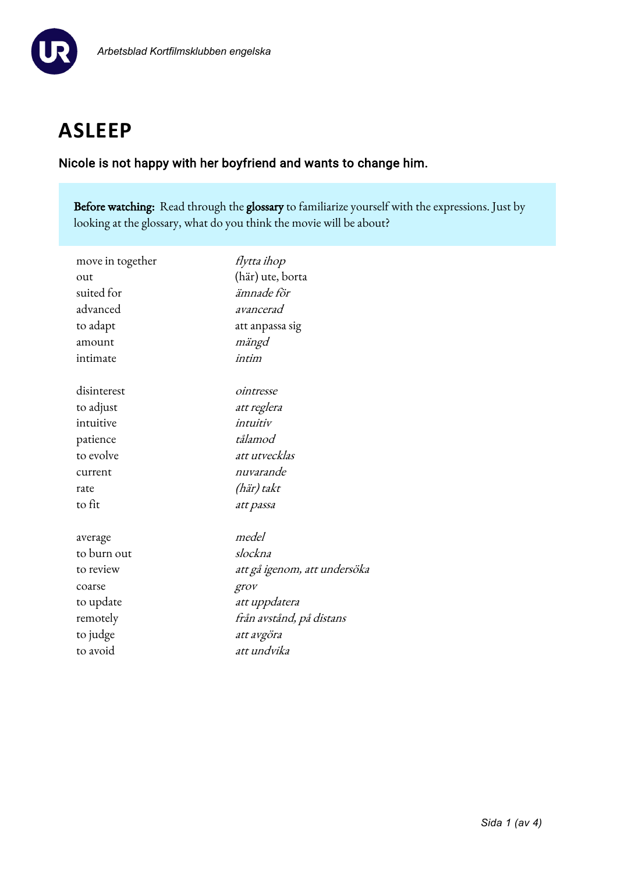

# **ASLEEP**

### Nicole is not happy with her boyfriend and wants to change him.

Before watching: Read through the glossary to familiarize yourself with the expressions. Just by looking at the glossary, what do you think the movie will be about?

| flytta ihop                  |
|------------------------------|
| (här) ute, borta             |
| ämnade för                   |
| avancerad                    |
| att anpassa sig              |
| mängd                        |
| intim                        |
| ointresse                    |
| att reglera                  |
| intuitiv                     |
| tålamod                      |
| att utvecklas                |
| nuvarande                    |
| (här) takt                   |
| att passa                    |
| medel                        |
| slockna                      |
| att gå igenom, att undersöka |
| grov                         |
| att uppdatera                |
| från avstånd, på distans     |
| att avgöra                   |
| att undvika                  |
|                              |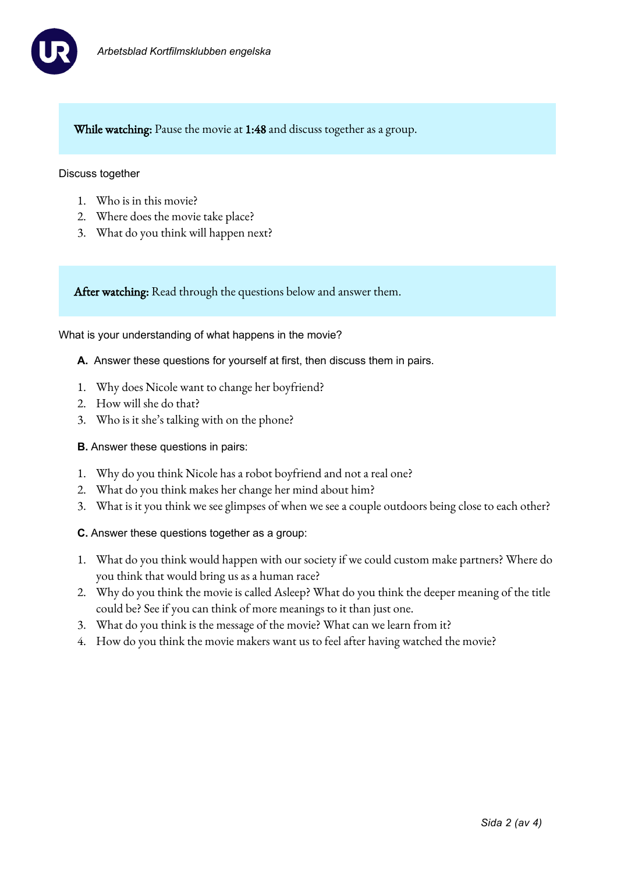

While watching: Pause the movie at 1:48 and discuss together as a group.

#### Discuss together

- 1. Who is in this movie?
- 2. Where does the movie take place?
- 3. What do you think will happen next?

After watching: Read through the questions below and answer them.

What is your understanding of what happens in the movie?

- **A.** Answer these questions for yourself at first, then discuss them in pairs.
- 1. Why does Nicole want to change her boyfriend?
- 2. How will she do that?
- 3. Who is it she's talking with on the phone?
- **B.** Answer these questions in pairs:
- 1. Why do you think Nicole has a robot boyfriend and not a real one?
- 2. What do you think makes her change her mind about him?
- 3. What is it you think we see glimpses of when we see a couple outdoors being close to each other?
- **C.** Answer these questions together as a group:
- 1. What do you think would happen with our society if we could custom make partners? Where do you think that would bring us as a human race?
- 2. Why do you think the movie is called Asleep? What do you think the deeper meaning of the title could be? See if you can think of more meanings to it than just one.
- 3. What do you think is the message of the movie? What can we learn from it?
- 4. How do you think the movie makers want us to feel after having watched the movie?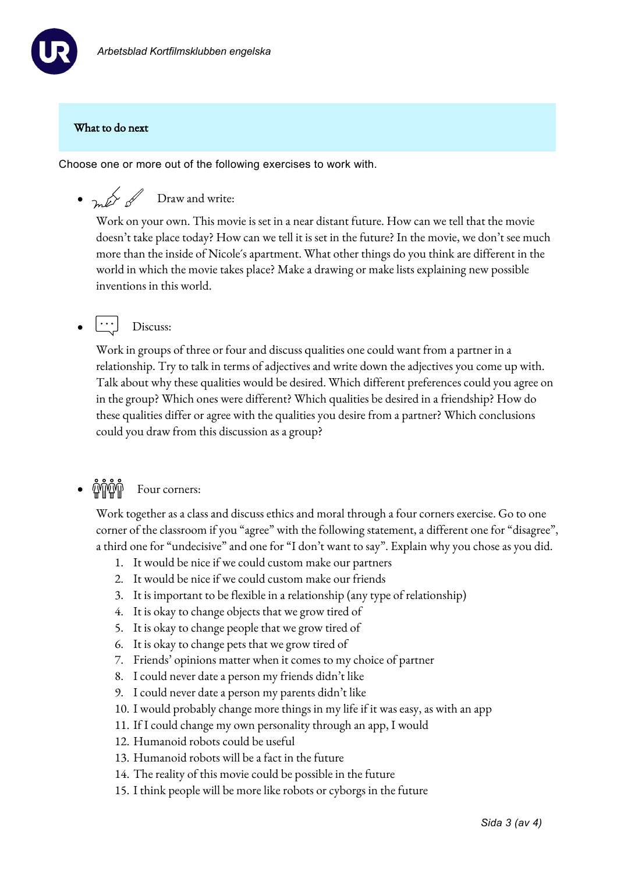

#### What to do next

Choose one or more out of the following exercises to work with.

•  $\sim$   $\mathbb{Z}$  Draw and write:

Work on your own. This movie is set in a near distant future. How can we tell that the movie doesn't take place today? How can we tell it is set in the future? In the movie, we don't see much more than the inside of Nicole´s apartment. What other things do you think are different in the world in which the movie takes place? Make a drawing or make lists explaining new possible inventions in this world.

 $\lfloor \cdot \cdot \cdot \rfloor$  Discuss:

Work in groups of three or four and discuss qualities one could want from a partner in a relationship. Try to talk in terms of adjectives and write down the adjectives you come up with. Talk about why these qualities would be desired. Which different preferences could you agree on in the group? Which ones were different? Which qualities be desired in a friendship? How do these qualities differ or agree with the qualities you desire from a partner? Which conclusions could you draw from this discussion as a group?

## • *UNIVIII* Four corners:

Work together as a class and discuss ethics and moral through a four corners exercise. Go to one corner of the classroom if you "agree" with the following statement, a different one for "disagree", a third one for "undecisive" and one for "I don't want to say". Explain why you chose as you did.

- 1. It would be nice if we could custom make our partners
- 2. It would be nice if we could custom make our friends
- 3. It is important to be flexible in a relationship (any type of relationship)
- 4. It is okay to change objects that we grow tired of
- 5. It is okay to change people that we grow tired of
- 6. It is okay to change pets that we grow tired of
- 7. Friends' opinions matter when it comes to my choice of partner
- 8. I could never date a person my friends didn't like
- 9. I could never date a person my parents didn't like
- 10. I would probably change more things in my life if it was easy, as with an app
- 11. If I could change my own personality through an app, I would
- 12. Humanoid robots could be useful
- 13. Humanoid robots will be a fact in the future
- 14. The reality of this movie could be possible in the future
- 15. I think people will be more like robots or cyborgs in the future